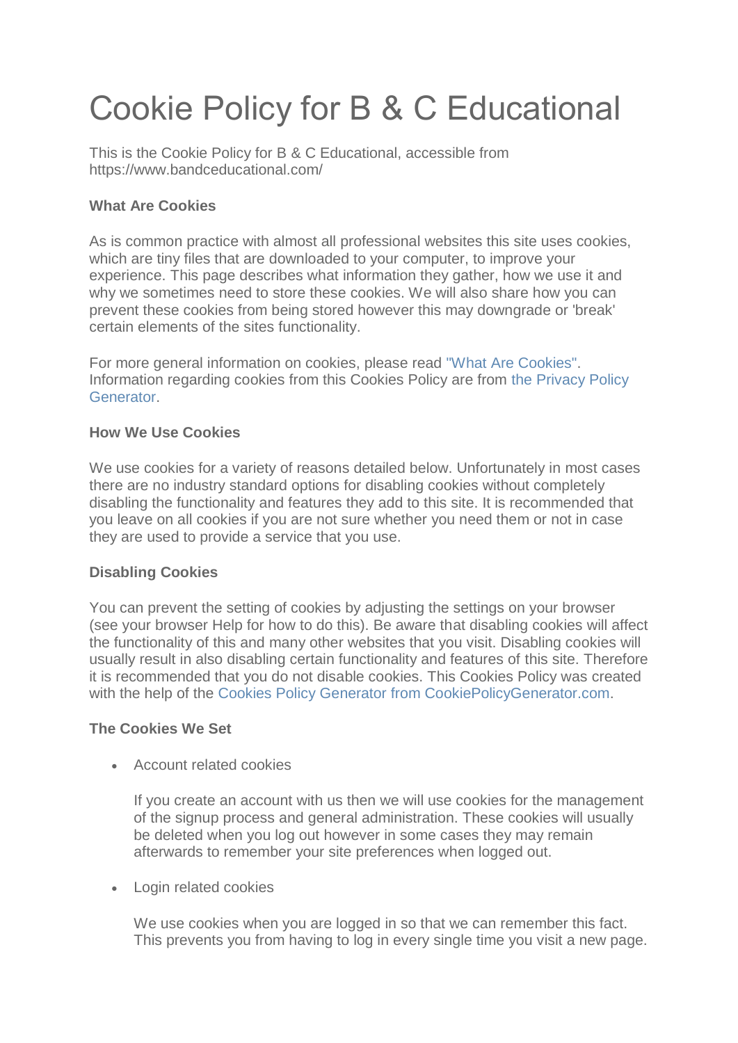# Cookie Policy for B & C Educational

This is the Cookie Policy for B & C Educational, accessible from https://www.bandceducational.com/

## **What Are Cookies**

As is common practice with almost all professional websites this site uses cookies, which are tiny files that are downloaded to your computer, to improve your experience. This page describes what information they gather, how we use it and why we sometimes need to store these cookies. We will also share how you can prevent these cookies from being stored however this may downgrade or 'break' certain elements of the sites functionality.

For more general information on cookies, please read ["What Are Cookies".](https://www.cookieconsent.com/what-are-cookies/) Information regarding cookies from this Cookies Policy are from [the Privacy Policy](https://www.generateprivacypolicy.com/)  [Generator.](https://www.generateprivacypolicy.com/)

## **How We Use Cookies**

We use cookies for a variety of reasons detailed below. Unfortunately in most cases there are no industry standard options for disabling cookies without completely disabling the functionality and features they add to this site. It is recommended that you leave on all cookies if you are not sure whether you need them or not in case they are used to provide a service that you use.

## **Disabling Cookies**

You can prevent the setting of cookies by adjusting the settings on your browser (see your browser Help for how to do this). Be aware that disabling cookies will affect the functionality of this and many other websites that you visit. Disabling cookies will usually result in also disabling certain functionality and features of this site. Therefore it is recommended that you do not disable cookies. This Cookies Policy was created with the help of the [Cookies Policy Generator from CookiePolicyGenerator.com.](https://www.cookiepolicygenerator.com/cookie-policy-generator/)

## **The Cookies We Set**

Account related cookies

If you create an account with us then we will use cookies for the management of the signup process and general administration. These cookies will usually be deleted when you log out however in some cases they may remain afterwards to remember your site preferences when logged out.

Login related cookies

We use cookies when you are logged in so that we can remember this fact. This prevents you from having to log in every single time you visit a new page.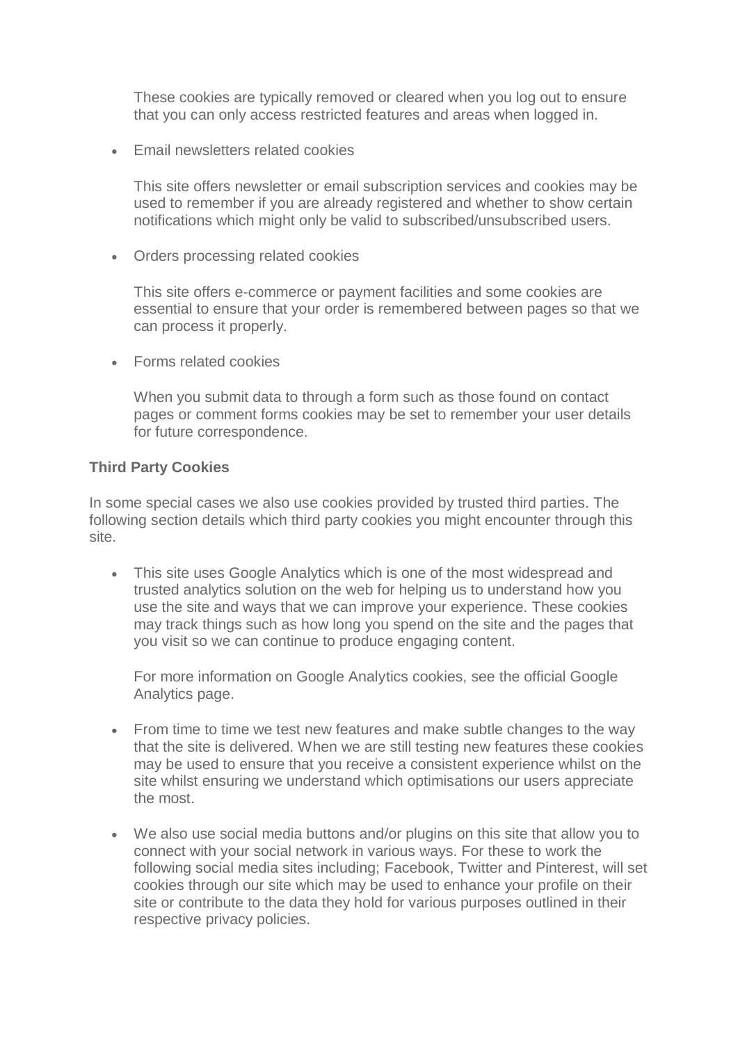These cookies are typically removed or cleared when you log out to ensure that you can only access restricted features and areas when logged in.

Email newsletters related cookies

This site offers newsletter or email subscription services and cookies may be used to remember if you are already registered and whether to show certain notifications which might only be valid to subscribed/unsubscribed users.

Orders processing related cookies

This site offers e-commerce or payment facilities and some cookies are essential to ensure that your order is remembered between pages so that we can process it properly.

• Forms related cookies

When you submit data to through a form such as those found on contact pages or comment forms cookies may be set to remember your user details for future correspondence.

#### **Third Party Cookies**

In some special cases we also use cookies provided by trusted third parties. The following section details which third party cookies you might encounter through this site.

 This site uses Google Analytics which is one of the most widespread and trusted analytics solution on the web for helping us to understand how you use the site and ways that we can improve your experience. These cookies may track things such as how long you spend on the site and the pages that you visit so we can continue to produce engaging content.

For more information on Google Analytics cookies, see the official Google Analytics page.

- From time to time we test new features and make subtle changes to the way that the site is delivered. When we are still testing new features these cookies may be used to ensure that you receive a consistent experience whilst on the site whilst ensuring we understand which optimisations our users appreciate the most.
- We also use social media buttons and/or plugins on this site that allow you to connect with your social network in various ways. For these to work the following social media sites including; Facebook, Twitter and Pinterest, will set cookies through our site which may be used to enhance your profile on their site or contribute to the data they hold for various purposes outlined in their respective privacy policies.